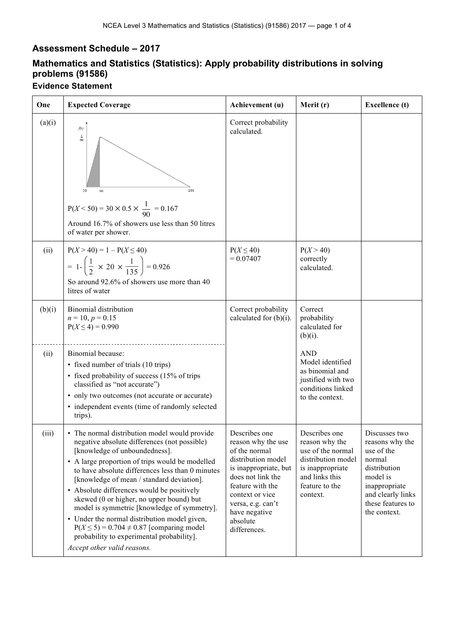## **Assessment Schedule – 2017**

## **Mathematics and Statistics (Statistics): Apply probability distributions in solving problems (91586)**

## **Evidence Statement**

| One    | <b>Expected Coverage</b>                                                                                                                                                                                                                                                                                                                                                                                                                                                                                                                                                                                   | Achievement (u)                                                                                                                                                                                                                   | Merit (r)                                                                                                                                      | <b>Excellence</b> (t)                                                                                                                                           |
|--------|------------------------------------------------------------------------------------------------------------------------------------------------------------------------------------------------------------------------------------------------------------------------------------------------------------------------------------------------------------------------------------------------------------------------------------------------------------------------------------------------------------------------------------------------------------------------------------------------------------|-----------------------------------------------------------------------------------------------------------------------------------------------------------------------------------------------------------------------------------|------------------------------------------------------------------------------------------------------------------------------------------------|-----------------------------------------------------------------------------------------------------------------------------------------------------------------|
| (a)(i) | $f(\!x\!)$<br>$\frac{1}{90}$<br>20<br>50<br>$P(X < 50) = 30 \times 0.5 \times \frac{1}{90} = 0.167$<br>Around 16.7% of showers use less than 50 litres<br>of water per shower.                                                                                                                                                                                                                                                                                                                                                                                                                             | Correct probability<br>calculated.                                                                                                                                                                                                |                                                                                                                                                |                                                                                                                                                                 |
| (ii)   | $P(X > 40) = 1 - P(X \le 40)$<br>= $1 - \left(\frac{1}{2} \times 20 \times \frac{1}{135}\right) = 0.926$<br>So around 92.6% of showers use more than 40<br>litres of water                                                                                                                                                                                                                                                                                                                                                                                                                                 | $P(X \leq 40)$<br>$= 0.07407$                                                                                                                                                                                                     | P(X > 40)<br>correctly<br>calculated.                                                                                                          |                                                                                                                                                                 |
| (b)(i) | Binomial distribution<br>$n = 10, p = 0.15$<br>$P(X \le 4) = 0.990$                                                                                                                                                                                                                                                                                                                                                                                                                                                                                                                                        | Correct probability<br>calculated for $(b)(i)$ .                                                                                                                                                                                  | Correct<br>probability<br>calculated for<br>$(b)(i)$ .                                                                                         |                                                                                                                                                                 |
| (ii)   | Binomial because:<br>• fixed number of trials (10 trips)<br>• fixed probability of success (15% of trips<br>classified as "not accurate")<br>• only two outcomes (not accurate or accurate)<br>• independent events (time of randomly selected<br>trips).                                                                                                                                                                                                                                                                                                                                                  |                                                                                                                                                                                                                                   | <b>AND</b><br>Model identified<br>as binomial and<br>justified with two<br>conditions linked<br>to the context.                                |                                                                                                                                                                 |
| (iii)  | • The normal distribution model would provide<br>negative absolute differences (not possible)<br>[knowledge of unboundedness].<br>• A large proportion of trips would be modelled<br>to have absolute differences less than 0 minutes<br>[knowledge of mean / standard deviation].<br>• Absolute differences would be positively<br>skewed (0 or higher, no upper bound) but<br>model is symmetric [knowledge of symmetry].<br>• Under the normal distribution model given,<br>$P(X \le 5) = 0.704 \ne 0.87$ [comparing model]<br>probability to experimental probability].<br>Accept other valid reasons. | Describes one<br>reason why the use<br>of the normal<br>distribution model<br>is inappropriate, but<br>does not link the<br>feature with the<br>context or vice<br>versa, e.g. can't<br>have negative<br>absolute<br>differences. | Describes one<br>reason why the<br>use of the normal<br>distribution model<br>is inappropriate<br>and links this<br>feature to the<br>context. | Discusses two<br>reasons why the<br>use of the<br>normal<br>distribution<br>model is<br>inappropriate<br>and clearly links<br>these features to<br>the context. |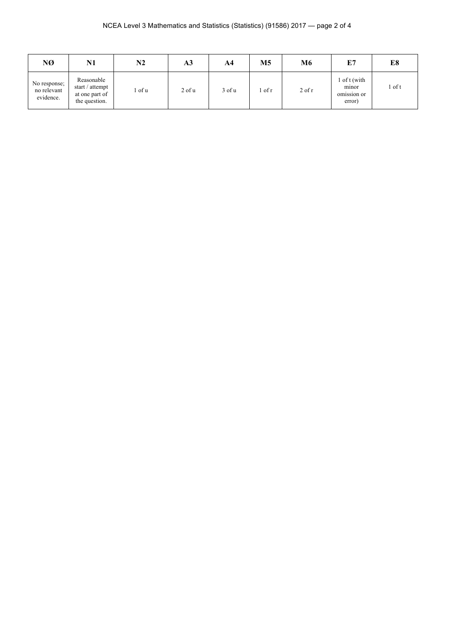| NØ                                       | N1                                                               | N2   | A <sub>3</sub> | A4     | M5   | M6         | E7                                             | E8     |
|------------------------------------------|------------------------------------------------------------------|------|----------------|--------|------|------------|------------------------------------------------|--------|
| No response;<br>no relevant<br>evidence. | Reasonable<br>start / attempt<br>at one part of<br>the question. | of u | $2$ of $u$     | 3 of u | of r | $2$ of $r$ | l of t (with<br>minor<br>omission or<br>error) | 1 of t |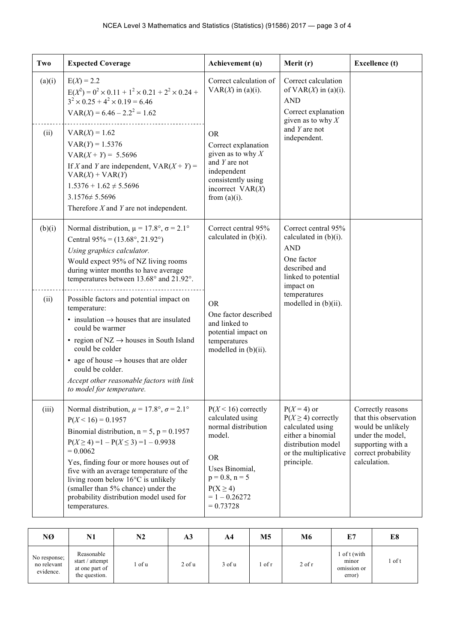| Two    | <b>Expected Coverage</b>                                                                                                                                                                                                                                                                                                                                                                                                              | Achievement (u)                                                                                                                                                                     | Merit (r)                                                                                                                                    | <b>Excellence</b> (t)                                                                                                                           |
|--------|---------------------------------------------------------------------------------------------------------------------------------------------------------------------------------------------------------------------------------------------------------------------------------------------------------------------------------------------------------------------------------------------------------------------------------------|-------------------------------------------------------------------------------------------------------------------------------------------------------------------------------------|----------------------------------------------------------------------------------------------------------------------------------------------|-------------------------------------------------------------------------------------------------------------------------------------------------|
| (a)(i) | $E(X) = 2.2$<br>$E(X^2) = 0^2 \times 0.11 + 1^2 \times 0.21 + 2^2 \times 0.24 +$<br>$3^{2} \times 0.25 + 4^{2} \times 0.19 = 6.46$<br>$VAR(X) = 6.46 - 2.2^2 = 1.62$                                                                                                                                                                                                                                                                  | Correct calculation of<br>$VAR(X)$ in (a)(i).                                                                                                                                       | Correct calculation<br>of $VAR(X)$ in (a)(i).<br><b>AND</b><br>Correct explanation<br>given as to why $X$                                    |                                                                                                                                                 |
| (ii)   | $VAR(X) = 1.62$<br>$VAR(Y) = 1.5376$<br>$VAR(X + Y) = 5.5696$<br>If X and Y are independent, $VAR(X + Y) =$<br>$VAR(X) + VAR(Y)$<br>$1.5376 + 1.62 \neq 5.5696$<br>$3.1576 \neq 5.5696$<br>Therefore $X$ and $Y$ are not independent.                                                                                                                                                                                                 | <b>OR</b><br>Correct explanation<br>given as to why $X$<br>and Y are not<br>independent<br>consistently using<br>incorrect $VAR(X)$<br>from $(a)(i)$ .                              | and $Y$ are not<br>independent.                                                                                                              |                                                                                                                                                 |
| (b)(i) | Normal distribution, $\mu = 17.8^{\circ}$ , $\sigma = 2.1^{\circ}$<br>Central $95\% = (13.68^{\circ}, 21.92^{\circ})$<br>Using graphics calculator.<br>Would expect 95% of NZ living rooms<br>during winter months to have average<br>temperatures between 13.68° and 21.92°.                                                                                                                                                         | Correct central 95%<br>calculated in $(b)(i)$ .                                                                                                                                     | Correct central 95%<br>calculated in $(b)(i)$ .<br><b>AND</b><br>One factor<br>described and<br>linked to potential<br>impact on             |                                                                                                                                                 |
| (ii)   | Possible factors and potential impact on<br>temperature:<br>• insulation $\rightarrow$ houses that are insulated<br>could be warmer<br>• region of $NZ \rightarrow$ houses in South Island<br>could be colder<br>• age of house $\rightarrow$ houses that are older<br>could be colder.<br>Accept other reasonable factors with link<br>to model for temperature.                                                                     | <b>OR</b><br>One factor described<br>and linked to<br>potential impact on<br>temperatures<br>modelled in $(b)(ii)$ .                                                                | temperatures<br>modelled in $(b)(ii)$ .                                                                                                      |                                                                                                                                                 |
| (iii)  | Normal distribution, $\mu = 17.8^{\circ}$ , $\sigma = 2.1^{\circ}$<br>$P(X < 16) = 0.1957$<br>Binomial distribution, $n = 5$ , $p = 0.1957$<br>$P(X \ge 4) = 1 - P(X \le 3) = 1 - 0.9938$<br>$= 0.0062$<br>Yes, finding four or more houses out of<br>five with an average temperature of the<br>living room below 16°C is unlikely<br>(smaller than 5% chance) under the<br>probability distribution model used for<br>temperatures. | $P(X < 16)$ correctly<br>calculated using<br>normal distribution<br>model.<br><b>OR</b><br>Uses Binomial,<br>$p = 0.8$ , $n = 5$<br>$P(X \geq 4)$<br>$= 1 - 0.26272$<br>$= 0.73728$ | $P(X=4)$ or<br>$P(X \geq 4)$ correctly<br>calculated using<br>either a binomial<br>distribution model<br>or the multiplicative<br>principle. | Correctly reasons<br>that this observation<br>would be unlikely<br>under the model,<br>supporting with a<br>correct probability<br>calculation. |

| NØ                                       | N1                                                               | N2   | A <sub>3</sub> | A4     | М5     | M6       | E7                                             | E8         |
|------------------------------------------|------------------------------------------------------------------|------|----------------|--------|--------|----------|------------------------------------------------|------------|
| No response;<br>no relevant<br>evidence. | Reasonable<br>start / attempt<br>at one part of<br>the question. | of u | $2$ of $u$     | 3 of u | . of r | $2$ of r | of $t$ (with<br>minor<br>omission or<br>error) | $1$ of $t$ |